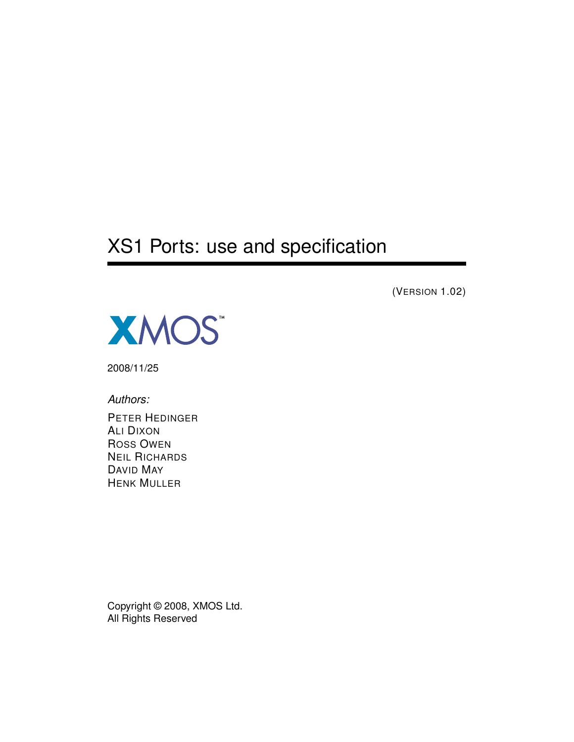# XS1 Ports: use and specification

(VERSION 1.02)



2008/11/25

*Authors:*

PETER HEDINGER ALI DIXON ROSS OWEN NEIL RICHARDS DAVID MAY HENK MULLER

Copyright © 2008, XMOS Ltd. All Rights Reserved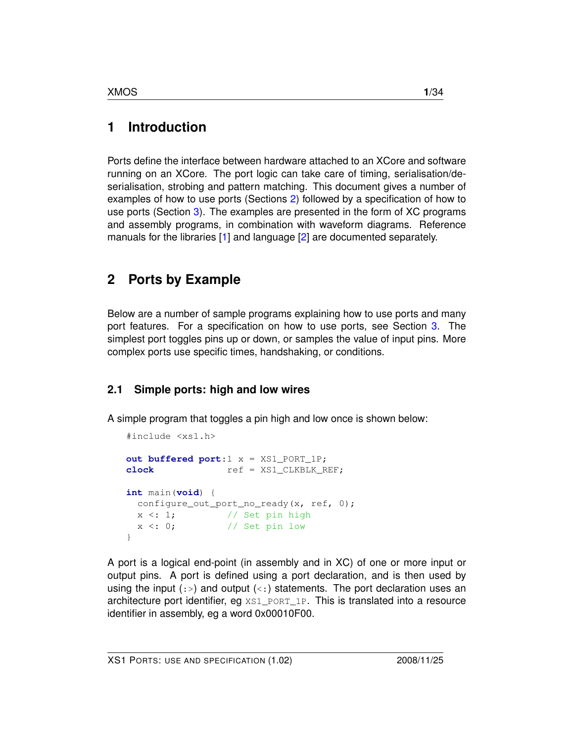## **1 Introduction**

Ports define the interface between hardware attached to an XCore and software running on an XCore. The port logic can take care of timing, serialisation/deserialisation, strobing and pattern matching. This document gives a number of examples of how to use ports (Sections [2\)](#page-1-0) followed by a specification of how to use ports (Section [3\)](#page-14-0). The examples are presented in the form of XC programs and assembly programs, in combination with waveform diagrams. Reference manuals for the libraries [\[1\]](#page-31-0) and language [\[2\]](#page-33-0) are documented separately.

## <span id="page-1-0"></span>**2 Ports by Example**

Below are a number of sample programs explaining how to use ports and many port features. For a specification on how to use ports, see Section [3.](#page-14-0) The simplest port toggles pins up or down, or samples the value of input pins. More complex ports use specific times, handshaking, or conditions.

## **2.1 Simple ports: high and low wires**

A simple program that toggles a pin high and low once is shown below:

```
#include <xs1.h>
out buffered port:1 x = XS1_PORT_1P;
clock ref = XS1 CLKBLK REF;
int main(void) {
 configure_out_port_no_ready(x, ref, 0);
 x < : 1; // Set pin high
 x < : 0; // Set pin low
}
```
A port is a logical end-point (in assembly and in XC) of one or more input or output pins. A port is defined using a port declaration, and is then used by using the input  $(:)$  and output  $(<)$  statements. The port declaration uses an architecture port identifier, eg  $XSI$  port  $1P$ . This is translated into a resource identifier in assembly, eg a word 0x00010F00.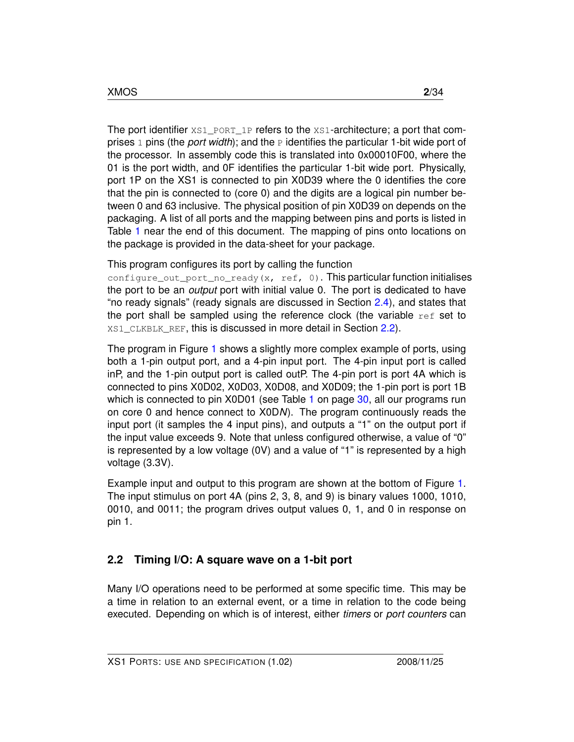The port identifier XS1\_PORT\_1P refers to the XS1-architecture; a port that comprises 1 pins (the *port width*); and the P identifies the particular 1-bit wide port of the processor. In assembly code this is translated into 0x00010F00, where the 01 is the port width, and 0F identifies the particular 1-bit wide port. Physically, port 1P on the XS1 is connected to pin X0D39 where the 0 identifies the core that the pin is connected to (core 0) and the digits are a logical pin number between 0 and 63 inclusive. The physical position of pin X0D39 on depends on the packaging. A list of all ports and the mapping between pins and ports is listed in Table [1](#page-30-0) near the end of this document. The mapping of pins onto locations on the package is provided in the data-sheet for your package.

This program configures its port by calling the function

configure\_out\_port\_no\_ready(x, ref, 0). This particular function initialises the port to be an *output* port with initial value 0. The port is dedicated to have "no ready signals" (ready signals are discussed in Section [2.4\)](#page-8-0), and states that the port shall be sampled using the reference clock (the variable  $ref$  set to XS1\_CLKBLK\_REF, this is discussed in more detail in Section [2.2\)](#page-2-0).

The program in Figure [1](#page-3-0) shows a slightly more complex example of ports, using both a 1-pin output port, and a 4-pin input port. The 4-pin input port is called inP, and the 1-pin output port is called outP. The 4-pin port is port 4A which is connected to pins X0D02, X0D03, X0D08, and X0D09; the 1-pin port is port 1B which is connected to pin X0D0[1](#page-30-0) (see Table 1 on page [30,](#page-30-0) all our programs run on core 0 and hence connect to X0D*N*). The program continuously reads the input port (it samples the 4 input pins), and outputs a "1" on the output port if the input value exceeds 9. Note that unless configured otherwise, a value of "0" is represented by a low voltage (0V) and a value of "1" is represented by a high voltage (3.3V).

Example input and output to this program are shown at the bottom of Figure [1.](#page-3-0) The input stimulus on port 4A (pins 2, 3, 8, and 9) is binary values 1000, 1010, 0010, and 0011; the program drives output values 0, 1, and 0 in response on pin 1.

### <span id="page-2-0"></span>**2.2 Timing I/O: A square wave on a 1-bit port**

Many I/O operations need to be performed at some specific time. This may be a time in relation to an external event, or a time in relation to the code being executed. Depending on which is of interest, either *timers* or *port counters* can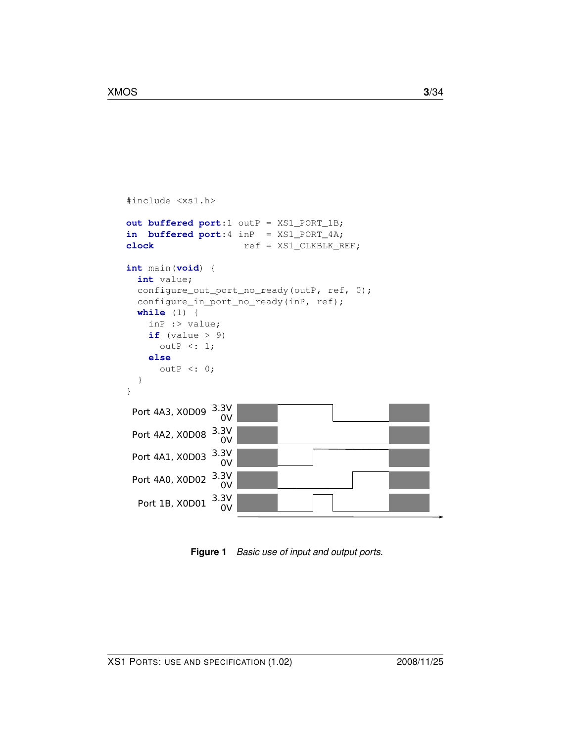```
#include <xs1.h>
out buffered port:1 outP = XS1_PORT_1B;
in buffered port:4 inP = XS1_PORT_4A;
clock ref = XS1_CLKBLK_REF;int main(void) {
 int value;
  configure_out_port_no_ready(outP, ref, 0);
  configure_in_port_no_ready(inP, ref);
  while (1) {
   inP :> value;
    if (value > 9)outP <: 1;
    else
      outP <: 0;
  }
}
                3.3V
  Port 1B, X0D01 \longrightarrow 0Port 4A0, X0D02 3.3V0V
 Port 4A1, X0D03 3.3V0V
 Port 4A2, X0D08 3.3V0V
 Port 4A3, X0D09 3.3V0V
```
<span id="page-3-0"></span>**Figure 1** *Basic use of input and output ports.*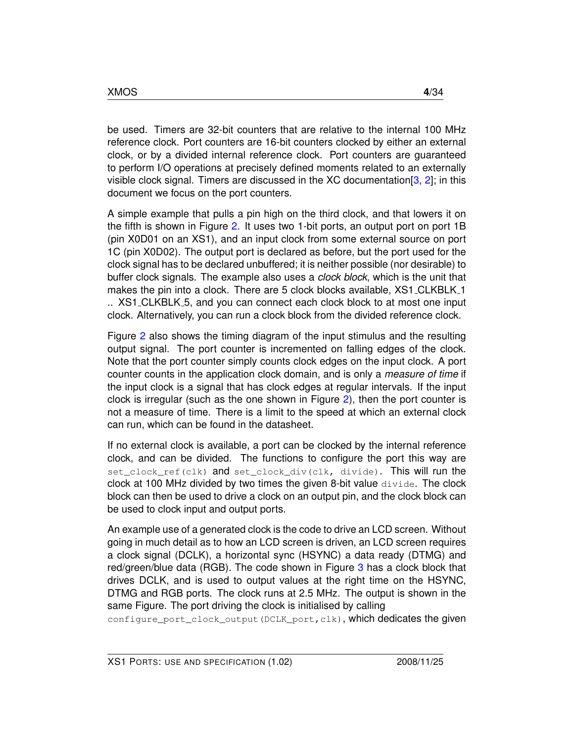be used. Timers are 32-bit counters that are relative to the internal 100 MHz reference clock. Port counters are 16-bit counters clocked by either an external clock, or by a divided internal reference clock. Port counters are guaranteed to perform I/O operations at precisely defined moments related to an externally visible clock signal. Timers are discussed in the XC documentation  $[3, 2]$  $[3, 2]$  $[3, 2]$ ; in this document we focus on the port counters.

A simple example that pulls a pin high on the third clock, and that lowers it on the fifth is shown in Figure [2.](#page-5-0) It uses two 1-bit ports, an output port on port 1B (pin X0D01 on an XS1), and an input clock from some external source on port 1C (pin X0D02). The output port is declared as before, but the port used for the clock signal has to be declared unbuffered; it is neither possible (nor desirable) to buffer clock signals. The example also uses a *clock block*, which is the unit that makes the pin into a clock. There are 5 clock blocks available, XS1\_CLKBLK\_1 .. XS1 CLKBLK 5, and you can connect each clock block to at most one input clock. Alternatively, you can run a clock block from the divided reference clock.

Figure [2](#page-5-0) also shows the timing diagram of the input stimulus and the resulting output signal. The port counter is incremented on falling edges of the clock. Note that the port counter simply counts clock edges on the input clock. A port counter counts in the application clock domain, and is only a *measure of time* if the input clock is a signal that has clock edges at regular intervals. If the input clock is irregular (such as the one shown in Figure [2\)](#page-5-0), then the port counter is not a measure of time. There is a limit to the speed at which an external clock can run, which can be found in the datasheet.

If no external clock is available, a port can be clocked by the internal reference clock, and can be divided. The functions to configure the port this way are set\_clock\_ref(clk) and set\_clock\_div(clk, divide). This will run the clock at 100 MHz divided by two times the given 8-bit value divide. The clock block can then be used to drive a clock on an output pin, and the clock block can be used to clock input and output ports.

An example use of a generated clock is the code to drive an LCD screen. Without going in much detail as to how an LCD screen is driven, an LCD screen requires a clock signal (DCLK), a horizontal sync (HSYNC) a data ready (DTMG) and red/green/blue data (RGB). The code shown in Figure [3](#page-7-0) has a clock block that drives DCLK, and is used to output values at the right time on the HSYNC, DTMG and RGB ports. The clock runs at 2.5 MHz. The output is shown in the same Figure. The port driving the clock is initialised by calling

configure\_port\_clock\_output(DCLK\_port,clk), which dedicates the given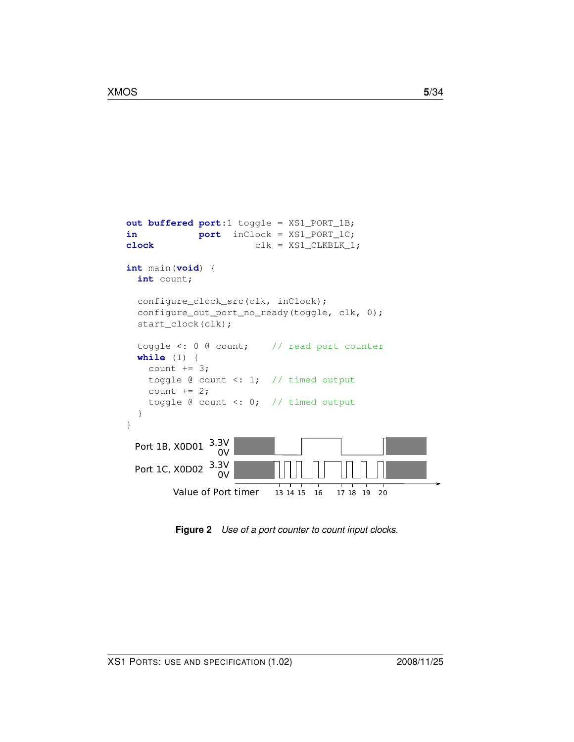```
out buffered port:1 toggle = XS1_PORT_1B;
in port inClock = XS1_PORT_1C;
clock clk = XS1_CLKBLK_1;
int main(void) {
 int count;
 configure_clock_src(clk, inClock);
 configure_out_port_no_ready(toggle, clk, 0);
 start_clock(clk);
 toggle <: 0 @ count; // read port counter
 while (1) {
   count += 3;toggle @ count <: 1; // timed output
   count += 2;toggle @ count <: 0; // timed output
  }
}
               3.3V
 Port 1C, X0D02 3.3V
 Port 1B, X0D01 \frac{3.3V}{2V}0V
        Value of Port timer 13 14 15 16 17 18 19 20
```
<span id="page-5-0"></span>**Figure 2** *Use of a port counter to count input clocks.*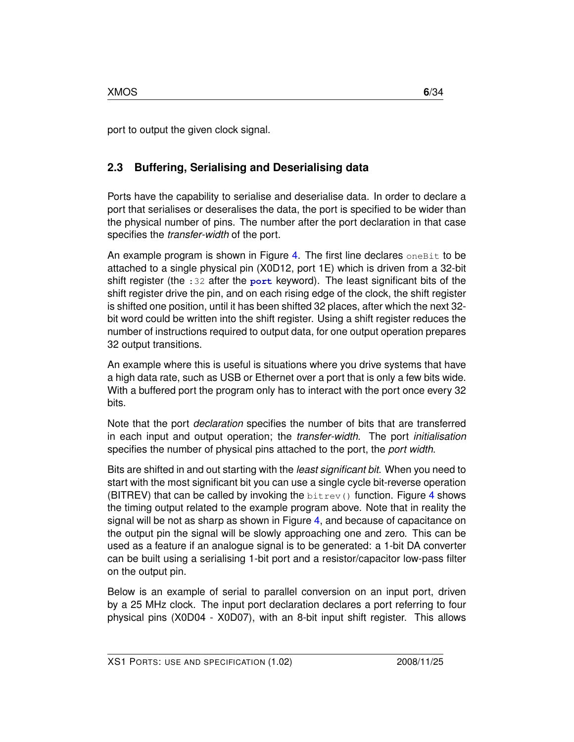port to output the given clock signal.

## **2.3 Buffering, Serialising and Deserialising data**

Ports have the capability to serialise and deserialise data. In order to declare a port that serialises or deseralises the data, the port is specified to be wider than the physical number of pins. The number after the port declaration in that case specifies the *transfer-width* of the port.

An example program is shown in Figure [4.](#page-8-1) The first line declares one Bit to be attached to a single physical pin (X0D12, port 1E) which is driven from a 32-bit shift register (the :32 after the **port** keyword). The least significant bits of the shift register drive the pin, and on each rising edge of the clock, the shift register is shifted one position, until it has been shifted 32 places, after which the next 32 bit word could be written into the shift register. Using a shift register reduces the number of instructions required to output data, for one output operation prepares 32 output transitions.

An example where this is useful is situations where you drive systems that have a high data rate, such as USB or Ethernet over a port that is only a few bits wide. With a buffered port the program only has to interact with the port once every 32 bits.

Note that the port *declaration* specifies the number of bits that are transferred in each input and output operation; the *transfer-width*. The port *initialisation* specifies the number of physical pins attached to the port, the *port width*.

Bits are shifted in and out starting with the *least significant bit*. When you need to start with the most significant bit you can use a single cycle bit-reverse operation (BITREV) that can be called by invoking the  $\text{bitrev}(t)$  function. Figure [4](#page-8-1) shows the timing output related to the example program above. Note that in reality the signal will be not as sharp as shown in Figure [4,](#page-8-1) and because of capacitance on the output pin the signal will be slowly approaching one and zero. This can be used as a feature if an analogue signal is to be generated: a 1-bit DA converter can be built using a serialising 1-bit port and a resistor/capacitor low-pass filter on the output pin.

Below is an example of serial to parallel conversion on an input port, driven by a 25 MHz clock. The input port declaration declares a port referring to four physical pins (X0D04 - X0D07), with an 8-bit input shift register. This allows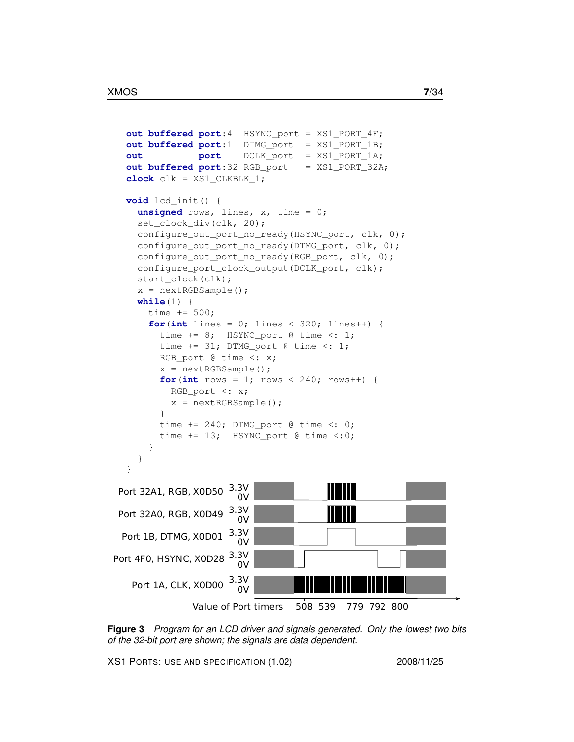```
out buffered port:4 HSYNC_port = XS1_PORT_4F;
  out buffered port:1 DTMG_port = XS1_PORT_1B;
  out port DCLK_port = XS1_PORT_1A;
  out buffered port:32 RGB_port = XS1_PORT_32A;
  clock clk = XS1_CLKBLK_1;
  void lcd_init() {
    unsigned rows, lines, x, time = 0;
    set_clock_div(clk, 20);
    configure_out_port_no_ready(HSYNC_port, clk, 0);
    configure_out_port_no_ready(DTMG_port, clk, 0);
    configure_out_port_no_ready(RGB_port, clk, 0);
    configure_port_clock_output(DCLK_port, clk);
    start_clock(clk);
    x = nextRGBSample();
    while(1) {
      time += 500;
      for(int lines = 0; lines < 320; lines++) {
        time += 8; HSYNC_port @ time <: 1;
        time += 31; DTMG_port @ time <: 1;
        RGB_port @ time <: x;
        x = nextRGBSample();
        for(int rows = 1; rows < 240; rows++) {
          RGB_port <: x;
          x = nextRGBSample();
        }
        time += 240; DTMG_port @ time \leq: 0;time += 13; HSYNC_port @ time \langle : 0; \rangle}
    }
  }
                      3.3V
   Port 1A, CLK, X0D00<sup>3.3</sup>
Port 4F0, HSYNC, X0D28 \frac{3.3V}{2V}0VValue of Port timers 508 539
 Port 1B, DTMG, X0D01 \frac{3.3V}{0V}Port 32A0, RGB, X0D49 \frac{3.3V}{0V}Port 32A1, RGB, X0D50 \frac{3.3V}{0V}779 792 800
```
<span id="page-7-0"></span>**Figure 3** *Program for an LCD driver and signals generated. Only the lowest two bits of the 32-bit port are shown; the signals are data dependent.*

XS1 PORTS: USE AND SPECIFICATION (1.02) 2008/11/25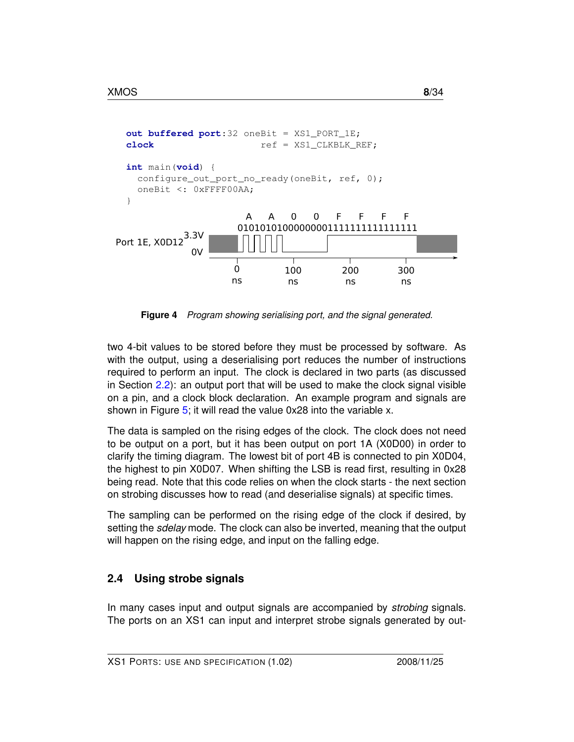

<span id="page-8-1"></span>**Figure 4** *Program showing serialising port, and the signal generated.*

two 4-bit values to be stored before they must be processed by software. As with the output, using a deserialising port reduces the number of instructions required to perform an input. The clock is declared in two parts (as discussed in Section [2.2\)](#page-2-0): an output port that will be used to make the clock signal visible on a pin, and a clock block declaration. An example program and signals are shown in Figure [5;](#page-9-0) it will read the value 0x28 into the variable x.

The data is sampled on the rising edges of the clock. The clock does not need to be output on a port, but it has been output on port 1A (X0D00) in order to clarify the timing diagram. The lowest bit of port 4B is connected to pin X0D04, the highest to pin X0D07. When shifting the LSB is read first, resulting in 0x28 being read. Note that this code relies on when the clock starts - the next section on strobing discusses how to read (and deserialise signals) at specific times.

The sampling can be performed on the rising edge of the clock if desired, by setting the *sdelay* mode. The clock can also be inverted, meaning that the output will happen on the rising edge, and input on the falling edge.

### <span id="page-8-0"></span>**2.4 Using strobe signals**

In many cases input and output signals are accompanied by *strobing* signals. The ports on an XS1 can input and interpret strobe signals generated by out-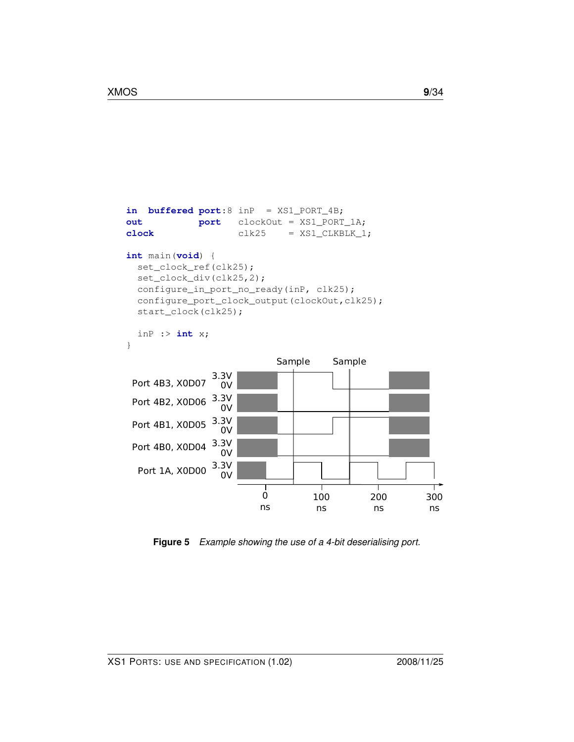```
in buffered port:8 inP = XS1_PORT_4B;
out port clockOut = XS1_PORT_1A;
clock clk25 = XSI CLKBLK<sup>1</sup>;
int main(void) {
  set_clock_ref(clk25);
  set_clock_div(clk25,2);
 configure_in_port_no_ready(inP, clk25);
  configure_port_clock_output(clockOut,clk25);
  start_clock(clk25);
  inP :> int x;
}
                             Sample Sample 3.3V
 Port 4B3, X0D07
                  0V
 Port 4B2, X0D06 3.3V0V
 Port 4B1, X0D05 3.3V0V
 Port 4B0, X0D04 3.3V0V
                 3.3V
  Port 1A, X0D00 \frac{5.5V}{0V}\overline{\phantom{a}}\overline{0}100
                                                200
                                                           300
                          ns
                                     ns
                                                ns
                                                           ns
```
<span id="page-9-0"></span>**Figure 5** *Example showing the use of a 4-bit deserialising port.*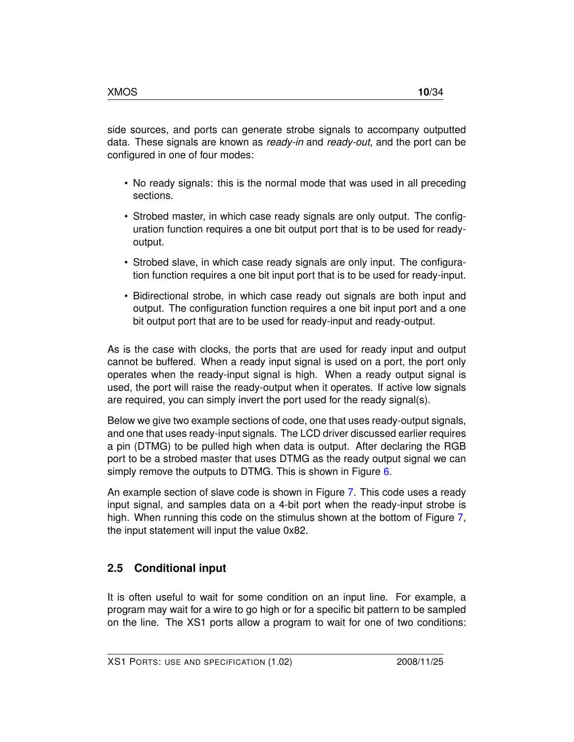side sources, and ports can generate strobe signals to accompany outputted data. These signals are known as *ready-in* and *ready-out*, and the port can be configured in one of four modes:

- No ready signals: this is the normal mode that was used in all preceding sections.
- Strobed master, in which case ready signals are only output. The configuration function requires a one bit output port that is to be used for readyoutput.
- Strobed slave, in which case ready signals are only input. The configuration function requires a one bit input port that is to be used for ready-input.
- Bidirectional strobe, in which case ready out signals are both input and output. The configuration function requires a one bit input port and a one bit output port that are to be used for ready-input and ready-output.

As is the case with clocks, the ports that are used for ready input and output cannot be buffered. When a ready input signal is used on a port, the port only operates when the ready-input signal is high. When a ready output signal is used, the port will raise the ready-output when it operates. If active low signals are required, you can simply invert the port used for the ready signal(s).

Below we give two example sections of code, one that uses ready-output signals, and one that uses ready-input signals. The LCD driver discussed earlier requires a pin (DTMG) to be pulled high when data is output. After declaring the RGB port to be a strobed master that uses DTMG as the ready output signal we can simply remove the outputs to DTMG. This is shown in Figure [6.](#page-11-0)

An example section of slave code is shown in Figure [7.](#page-12-0) This code uses a ready input signal, and samples data on a 4-bit port when the ready-input strobe is high. When running this code on the stimulus shown at the bottom of Figure [7,](#page-12-0) the input statement will input the value 0x82.

## **2.5 Conditional input**

It is often useful to wait for some condition on an input line. For example, a program may wait for a wire to go high or for a specific bit pattern to be sampled on the line. The XS1 ports allow a program to wait for one of two conditions: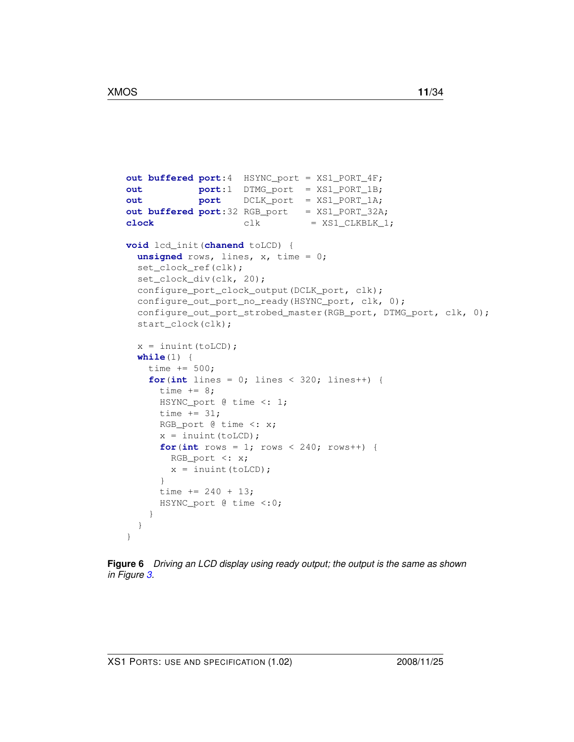```
out buffered port:4 HSYNC_port = XS1_PORT_4F;
out port:1 DTMG_port = XS1_PORT_1B;
out port DCLK_port = XS1_PORT_1A;
out buffered port:32 RGB_port = XS1_PORT_32A;
clock clk = XS1_CLKBLK_1;
void lcd_init(chanend toLCD) {
  unsigned rows, lines, x, time = 0;
  set_clock_ref(clk);
  set_clock_div(clk, 20);
  configure_port_clock_output(DCLK_port, clk);
  configure_out_port_no_ready(HSYNC_port, clk, 0);
  configure_out_port_strobed_master(RGB_port, DTMG_port, clk, 0);
  start_clock(clk);
  x = inuint (toLCD);
 while(1) {
   time += 500;
   for(int lines = 0; lines < 320; lines++) {
     time += 8;HSYNC_port @ time <: 1;
     time += 31;RGB_port @ time <: x;
     x = inuint (toLCD);
     for(int rows = 1; rows < 240; rows++) {
       RGB_port <: x;
       x = inuint (toLCD);
     }
     time += 240 + 13;HSYNC_port @ time <:0;
    }
  }
}
```
<span id="page-11-0"></span>**Figure 6** *Driving an LCD display using ready output; the output is the same as shown in Figure [3.](#page-7-0)*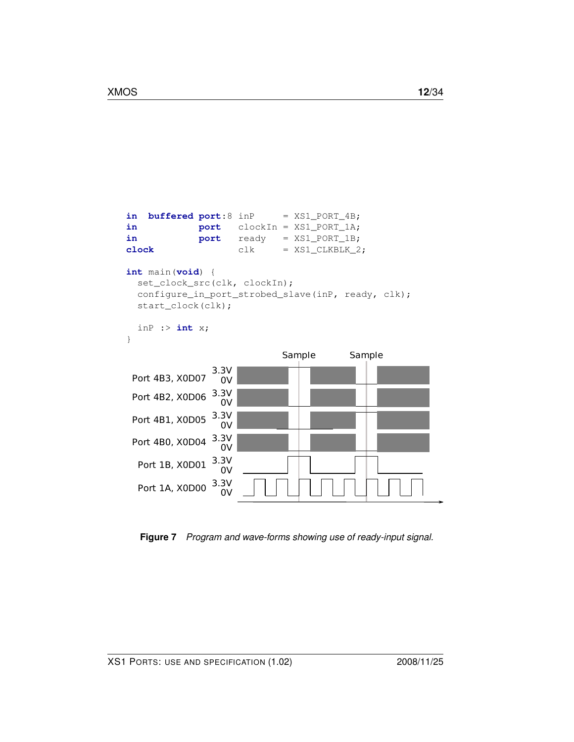```
in buffered port:8 inP = XS1_PORT_4B;
in port clockIn = XS1_PORT_1A;
in port ready = XS1_PORT_1B;
clock clk = XS1_CLKBLK_2;
int main(void) {
  set_clock_src(clk, clockIn);
 configure_in_port_strobed_slave(inP, ready, clk);
 start_clock(clk);
 inP :> int x;
}
               3.3V
  Port 1A, X0D00 \frac{5.5V}{0V}Port 4B0, X0D04 3.3V0V
 Port 4B1, X0D05 \frac{3.3V}{2V}0V
 Port 4B2, X0D06 3.3V0V
               3.3V
                0V
 Port 4B3, X0D07
                            Sample Sample
  Port 1B, X0D01 \frac{3.3V}{0V}
```
<span id="page-12-0"></span>**Figure 7** *Program and wave-forms showing use of ready-input signal.*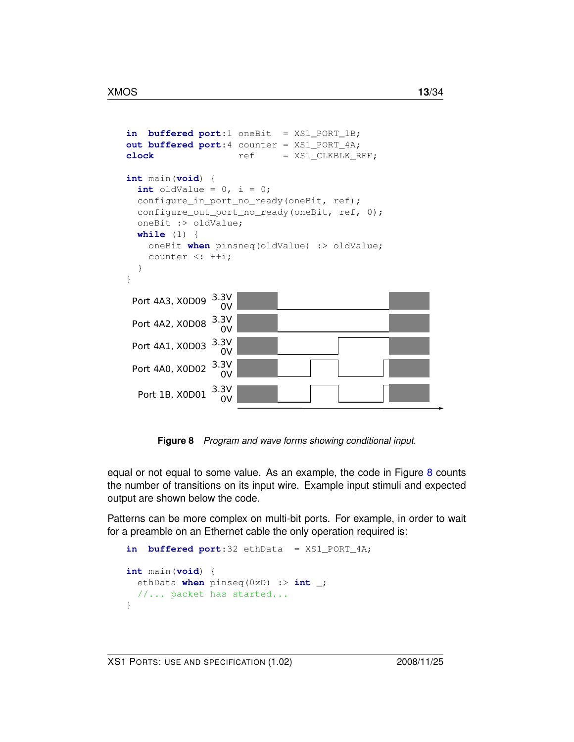```
in buffered port:1 oneBit = XS1_PORT_1B;
out buffered port:4 counter = XS1_PORT_4A;
clock ref = XS1 CLKBLK REF;
int main(void) {
  int oldValue = 0, i = 0;
  configure_in_port_no_ready(oneBit, ref);
  configure_out_port_no_ready(oneBit, ref, 0);
  oneBit :> oldValue;
  while (1) {
    oneBit when pinsneq(oldValue) :> oldValue;
    counter \langle : ++i;}
}
                3.3V
  Port 1B, X0D01 \longrightarrow 0Port 4A0, X0D02 3.3V0VPort 4A1, X0D03 3.3V0V
 Port 4A2, X0D08 3.3V0V
 Port 4A3, X0D09 3.3V0V
```
<span id="page-13-0"></span>**Figure 8** *Program and wave forms showing conditional input.*

equal or not equal to some value. As an example, the code in Figure [8](#page-13-0) counts the number of transitions on its input wire. Example input stimuli and expected output are shown below the code.

Patterns can be more complex on multi-bit ports. For example, in order to wait for a preamble on an Ethernet cable the only operation required is:

```
in buffered port:32 ethData = XS1_PORT_4A;
int main(void) {
 ethData when pinseq(0xD) :> int _;
  //... packet has started...
}
```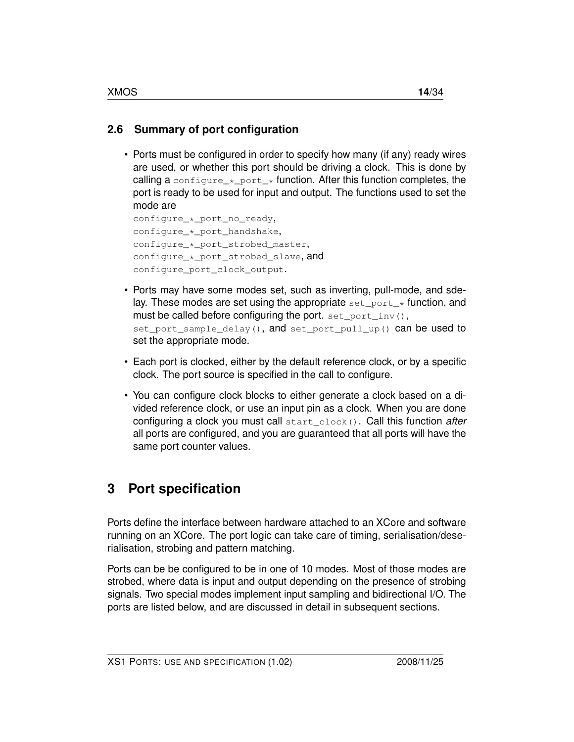## **2.6 Summary of port configuration**

• Ports must be configured in order to specify how many (if any) ready wires are used, or whether this port should be driving a clock. This is done by calling a configure  $*$  port  $*$  function. After this function completes, the port is ready to be used for input and output. The functions used to set the mode are

```
configure_*_port_no_ready,
configure_*_port_handshake,
configure_*_port_strobed_master,
configure_*_port_strobed_slave, and
configure_port_clock_output.
```
- Ports may have some modes set, such as inverting, pull-mode, and sdelay. These modes are set using the appropriate  $set{\text{port}}*$  function, and must be called before configuring the port. set\_port\_inv(), set\_port\_sample\_delay(), and set\_port\_pull\_up() can be used to set the appropriate mode.
- Each port is clocked, either by the default reference clock, or by a specific clock. The port source is specified in the call to configure.
- You can configure clock blocks to either generate a clock based on a divided reference clock, or use an input pin as a clock. When you are done configuring a clock you must call start\_clock(). Call this function *after* all ports are configured, and you are guaranteed that all ports will have the same port counter values.

## <span id="page-14-0"></span>**3 Port specification**

Ports define the interface between hardware attached to an XCore and software running on an XCore. The port logic can take care of timing, serialisation/deserialisation, strobing and pattern matching.

Ports can be be configured to be in one of 10 modes. Most of those modes are strobed, where data is input and output depending on the presence of strobing signals. Two special modes implement input sampling and bidirectional I/O. The ports are listed below, and are discussed in detail in subsequent sections.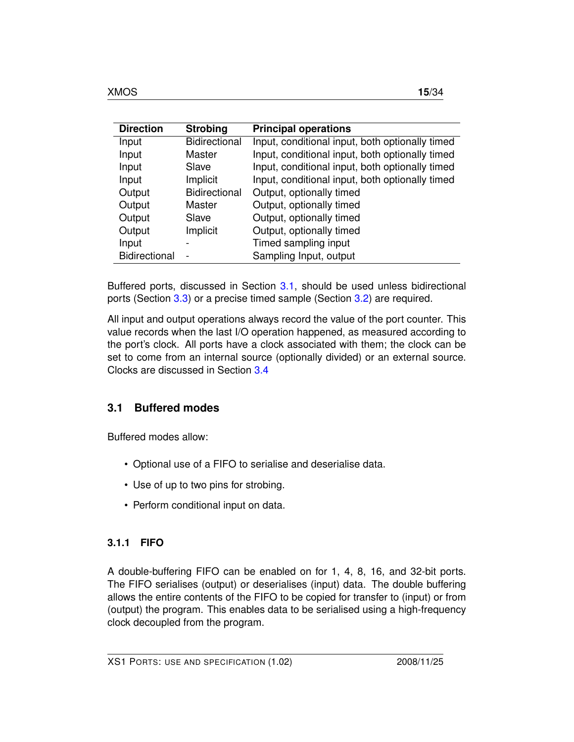| <b>Direction</b>     | <b>Strobing</b>      | <b>Principal operations</b>                     |
|----------------------|----------------------|-------------------------------------------------|
| Input                | <b>Bidirectional</b> | Input, conditional input, both optionally timed |
| Input                | Master               | Input, conditional input, both optionally timed |
| Input                | Slave                | Input, conditional input, both optionally timed |
| Input                | Implicit             | Input, conditional input, both optionally timed |
| Output               | <b>Bidirectional</b> | Output, optionally timed                        |
| Output               | Master               | Output, optionally timed                        |
| Output               | Slave                | Output, optionally timed                        |
| Output               | Implicit             | Output, optionally timed                        |
| Input                |                      | Timed sampling input                            |
| <b>Bidirectional</b> |                      | Sampling Input, output                          |

Buffered ports, discussed in Section [3.1,](#page-15-0) should be used unless bidirectional ports (Section [3.3\)](#page-18-0) or a precise timed sample (Section [3.2\)](#page-18-1) are required.

All input and output operations always record the value of the port counter. This value records when the last I/O operation happened, as measured according to the port's clock. All ports have a clock associated with them; the clock can be set to come from an internal source (optionally divided) or an external source. Clocks are discussed in Section [3.4](#page-19-0)

### <span id="page-15-0"></span>**3.1 Buffered modes**

Buffered modes allow:

- Optional use of a FIFO to serialise and deserialise data.
- Use of up to two pins for strobing.
- Perform conditional input on data.

### **3.1.1 FIFO**

A double-buffering FIFO can be enabled on for 1, 4, 8, 16, and 32-bit ports. The FIFO serialises (output) or deserialises (input) data. The double buffering allows the entire contents of the FIFO to be copied for transfer to (input) or from (output) the program. This enables data to be serialised using a high-frequency clock decoupled from the program.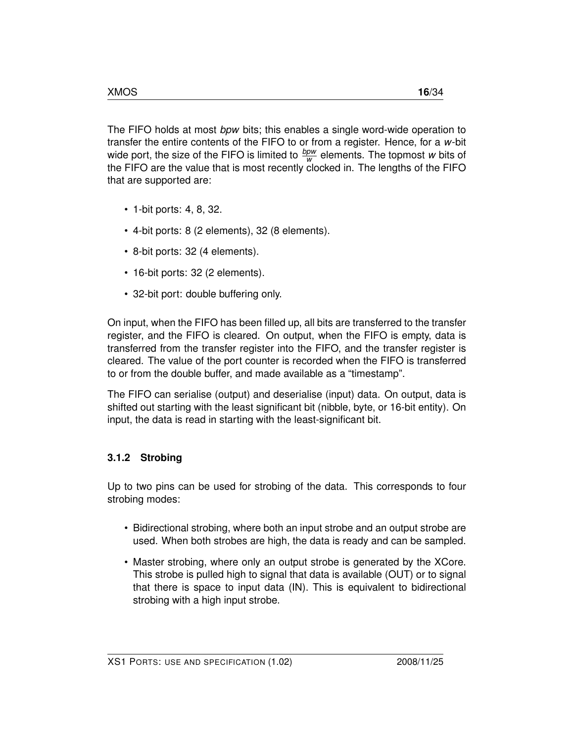The FIFO holds at most *bpw* bits; this enables a single word-wide operation to transfer the entire contents of the FIFO to or from a register. Hence, for a *w*-bit wide port, the size of the FIFO is limited to  $\frac{bpw}{w}$  elements. The topmost *w* bits of the FIFO are the value that is most recently clocked in. The lengths of the FIFO that are supported are:

- 1-bit ports: 4, 8, 32.
- 4-bit ports: 8 (2 elements), 32 (8 elements).
- 8-bit ports: 32 (4 elements).
- 16-bit ports: 32 (2 elements).
- 32-bit port: double buffering only.

On input, when the FIFO has been filled up, all bits are transferred to the transfer register, and the FIFO is cleared. On output, when the FIFO is empty, data is transferred from the transfer register into the FIFO, and the transfer register is cleared. The value of the port counter is recorded when the FIFO is transferred to or from the double buffer, and made available as a "timestamp".

The FIFO can serialise (output) and deserialise (input) data. On output, data is shifted out starting with the least significant bit (nibble, byte, or 16-bit entity). On input, the data is read in starting with the least-significant bit.

#### **3.1.2 Strobing**

Up to two pins can be used for strobing of the data. This corresponds to four strobing modes:

- Bidirectional strobing, where both an input strobe and an output strobe are used. When both strobes are high, the data is ready and can be sampled.
- Master strobing, where only an output strobe is generated by the XCore. This strobe is pulled high to signal that data is available (OUT) or to signal that there is space to input data (IN). This is equivalent to bidirectional strobing with a high input strobe.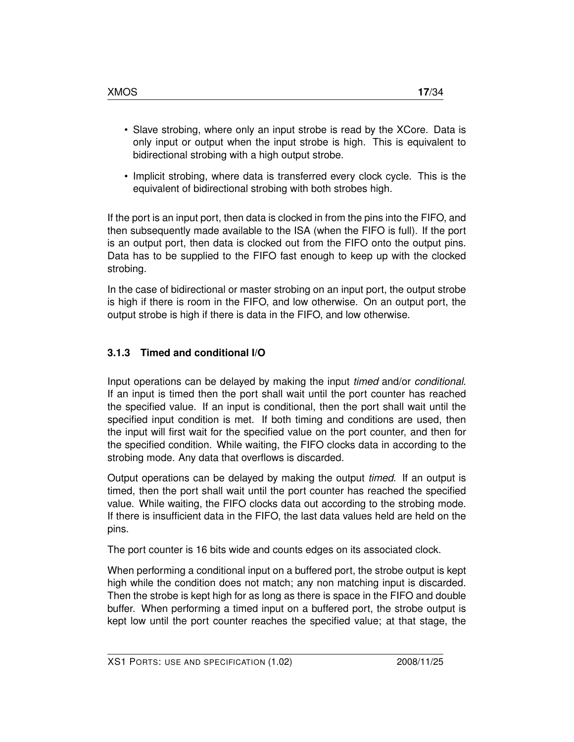- Slave strobing, where only an input strobe is read by the XCore. Data is only input or output when the input strobe is high. This is equivalent to bidirectional strobing with a high output strobe.
- Implicit strobing, where data is transferred every clock cycle. This is the equivalent of bidirectional strobing with both strobes high.

If the port is an input port, then data is clocked in from the pins into the FIFO, and then subsequently made available to the ISA (when the FIFO is full). If the port is an output port, then data is clocked out from the FIFO onto the output pins. Data has to be supplied to the FIFO fast enough to keep up with the clocked strobing.

In the case of bidirectional or master strobing on an input port, the output strobe is high if there is room in the FIFO, and low otherwise. On an output port, the output strobe is high if there is data in the FIFO, and low otherwise.

### **3.1.3 Timed and conditional I/O**

Input operations can be delayed by making the input *timed* and/or *conditional*. If an input is timed then the port shall wait until the port counter has reached the specified value. If an input is conditional, then the port shall wait until the specified input condition is met. If both timing and conditions are used, then the input will first wait for the specified value on the port counter, and then for the specified condition. While waiting, the FIFO clocks data in according to the strobing mode. Any data that overflows is discarded.

Output operations can be delayed by making the output *timed*. If an output is timed, then the port shall wait until the port counter has reached the specified value. While waiting, the FIFO clocks data out according to the strobing mode. If there is insufficient data in the FIFO, the last data values held are held on the pins.

The port counter is 16 bits wide and counts edges on its associated clock.

When performing a conditional input on a buffered port, the strobe output is kept high while the condition does not match; any non matching input is discarded. Then the strobe is kept high for as long as there is space in the FIFO and double buffer. When performing a timed input on a buffered port, the strobe output is kept low until the port counter reaches the specified value; at that stage, the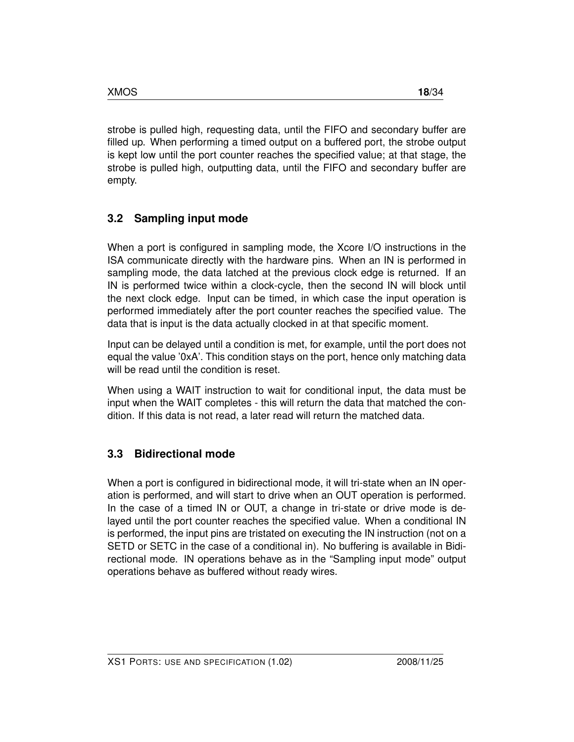strobe is pulled high, requesting data, until the FIFO and secondary buffer are filled up. When performing a timed output on a buffered port, the strobe output is kept low until the port counter reaches the specified value; at that stage, the strobe is pulled high, outputting data, until the FIFO and secondary buffer are empty.

## <span id="page-18-1"></span>**3.2 Sampling input mode**

When a port is configured in sampling mode, the Xcore I/O instructions in the ISA communicate directly with the hardware pins. When an IN is performed in sampling mode, the data latched at the previous clock edge is returned. If an IN is performed twice within a clock-cycle, then the second IN will block until the next clock edge. Input can be timed, in which case the input operation is performed immediately after the port counter reaches the specified value. The data that is input is the data actually clocked in at that specific moment.

Input can be delayed until a condition is met, for example, until the port does not equal the value '0xA'. This condition stays on the port, hence only matching data will be read until the condition is reset.

When using a WAIT instruction to wait for conditional input, the data must be input when the WAIT completes - this will return the data that matched the condition. If this data is not read, a later read will return the matched data.

## <span id="page-18-0"></span>**3.3 Bidirectional mode**

When a port is configured in bidirectional mode, it will tri-state when an IN operation is performed, and will start to drive when an OUT operation is performed. In the case of a timed IN or OUT, a change in tri-state or drive mode is delayed until the port counter reaches the specified value. When a conditional IN is performed, the input pins are tristated on executing the IN instruction (not on a SETD or SETC in the case of a conditional in). No buffering is available in Bidirectional mode. IN operations behave as in the "Sampling input mode" output operations behave as buffered without ready wires.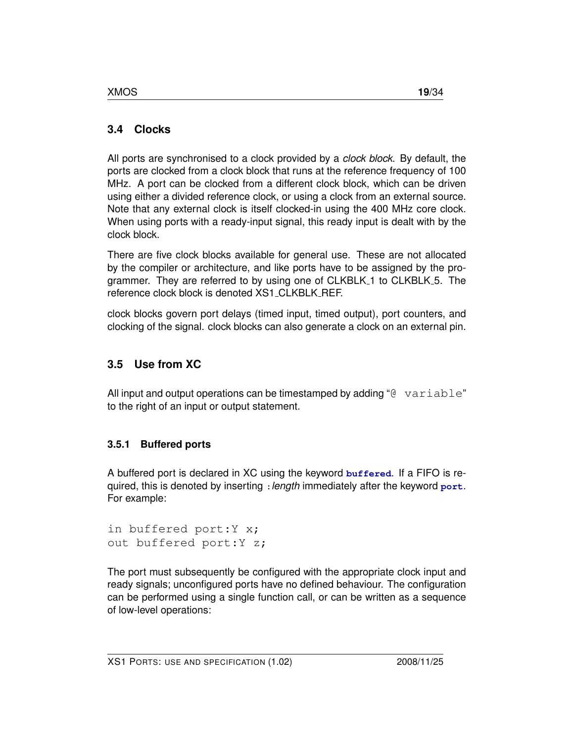## <span id="page-19-0"></span>**3.4 Clocks**

All ports are synchronised to a clock provided by a *clock block*. By default, the ports are clocked from a clock block that runs at the reference frequency of 100 MHz. A port can be clocked from a different clock block, which can be driven using either a divided reference clock, or using a clock from an external source. Note that any external clock is itself clocked-in using the 400 MHz core clock. When using ports with a ready-input signal, this ready input is dealt with by the clock block.

There are five clock blocks available for general use. These are not allocated by the compiler or architecture, and like ports have to be assigned by the programmer. They are referred to by using one of CLKBLK 1 to CLKBLK 5. The reference clock block is denoted XS1\_CLKBLK\_REF.

clock blocks govern port delays (timed input, timed output), port counters, and clocking of the signal. clock blocks can also generate a clock on an external pin.

## **3.5 Use from XC**

All input and output operations can be timestamped by adding " $@$  variable" to the right of an input or output statement.

## **3.5.1 Buffered ports**

A buffered port is declared in XC using the keyword **buffered**. If a FIFO is required, this is denoted by inserting :*length* immediately after the keyword **port**. For example:

```
in buffered port:Y x;
out buffered port:Y z;
```
The port must subsequently be configured with the appropriate clock input and ready signals; unconfigured ports have no defined behaviour. The configuration can be performed using a single function call, or can be written as a sequence of low-level operations: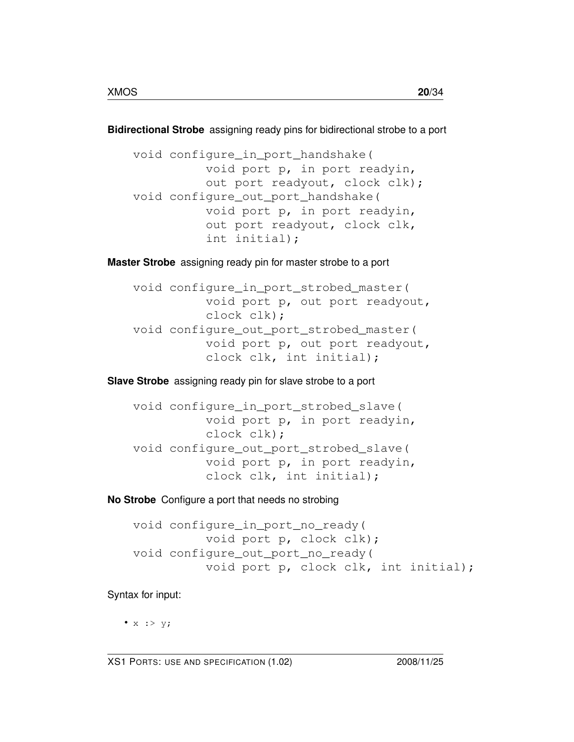**Bidirectional Strobe** assigning ready pins for bidirectional strobe to a port

void configure\_in\_port\_handshake( void port p, in port readyin, out port readyout, clock clk); void configure\_out\_port\_handshake( void port p, in port readyin, out port readyout, clock clk, int initial);

**Master Strobe** assigning ready pin for master strobe to a port

void configure\_in\_port\_strobed\_master( void port p, out port readyout, clock clk); void configure\_out\_port\_strobed\_master( void port p, out port readyout, clock clk, int initial);

**Slave Strobe** assigning ready pin for slave strobe to a port

```
void configure_in_port_strobed_slave(
          void port p, in port readyin,
          clock clk);
void configure_out_port_strobed_slave(
          void port p, in port readyin,
          clock clk, int initial);
```
**No Strobe** Configure a port that needs no strobing

```
void configure_in_port_no_ready(
          void port p, clock clk);
void configure out port no ready(
          void port p, clock clk, int initial);
```
Syntax for input:

•  $x : > y;$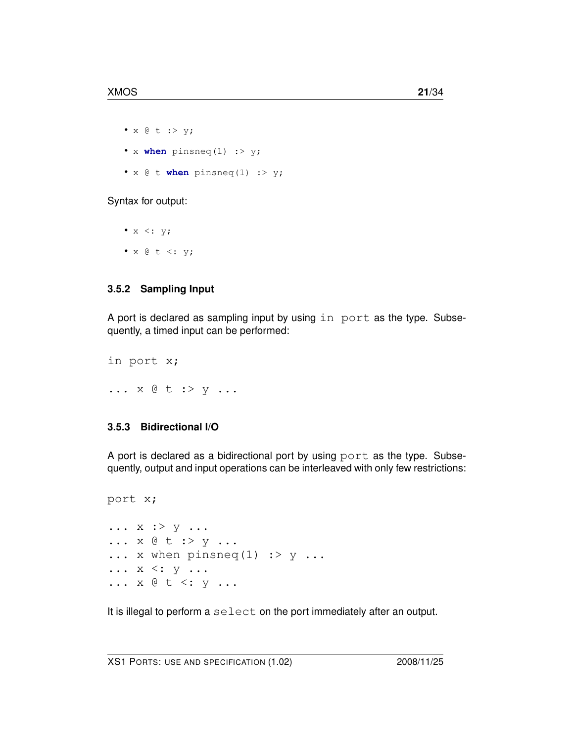- x @ t :> y;
- x **when** pinsneq(1) :> y;
- x @ t **when** pinsneq(1) :> y;

Syntax for output:

•  $x \leq: y;$ •  $x \in t \iff y;$ 

#### **3.5.2 Sampling Input**

A port is declared as sampling input by using in port as the type. Subsequently, a timed input can be performed:

in port x; ... x @ t :> y ...

#### **3.5.3 Bidirectional I/O**

A port is declared as a bidirectional port by using port as the type. Subsequently, output and input operations can be interleaved with only few restrictions:

```
port x;
... x : > y ...... x @ t :> y ...
\ldots x when pinsneq(1) \therefore y \ldots\ldots x \lt: y \ldots... x @ t <: y ...
```
It is illegal to perform a select on the port immediately after an output.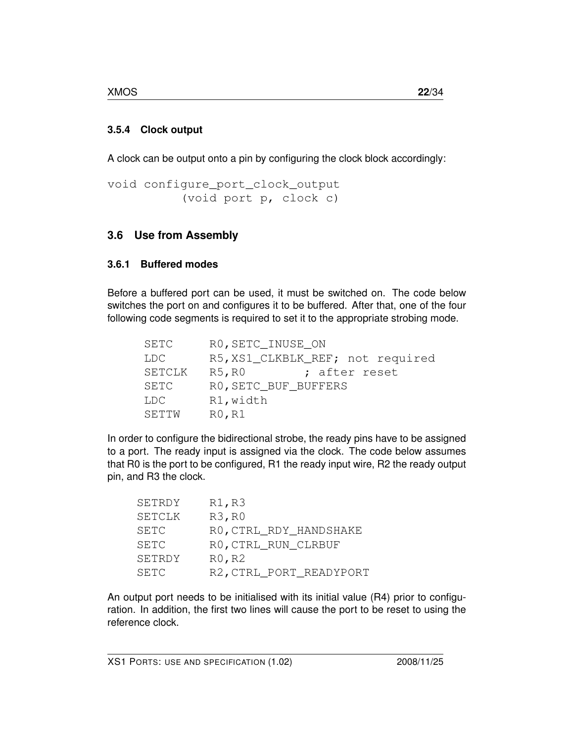#### **3.5.4 Clock output**

A clock can be output onto a pin by configuring the clock block accordingly:

```
void configure_port_clock_output
          (void port p, clock c)
```
## **3.6 Use from Assembly**

### **3.6.1 Buffered modes**

Before a buffered port can be used, it must be switched on. The code below switches the port on and configures it to be buffered. After that, one of the four following code segments is required to set it to the appropriate strobing mode.

| SETC   | RO, SETC_INUSE_ON                |
|--------|----------------------------------|
| LDC.   | R5, XS1_CLKBLK_REF; not required |
| SETCLK | R5, R0<br>; after reset          |
| SETC   | RO, SETC_BUF_BUFFERS             |
| LDC.   | R1, width                        |
| SETTW  | R0, R1                           |

In order to configure the bidirectional strobe, the ready pins have to be assigned to a port. The ready input is assigned via the clock. The code below assumes that R0 is the port to be configured, R1 the ready input wire, R2 the ready output pin, and R3 the clock.

| SETRDY        | R1, R3                  |
|---------------|-------------------------|
| <b>SETCLK</b> | R3, R0                  |
| SETC          | RO, CTRL_RDY_HANDSHAKE  |
| SETC          | RO, CTRL RUN CLRBUF     |
| SETRDY        | R0, R2                  |
| SETC          | R2, CTRL_PORT_READYPORT |

An output port needs to be initialised with its initial value (R4) prior to configuration. In addition, the first two lines will cause the port to be reset to using the reference clock.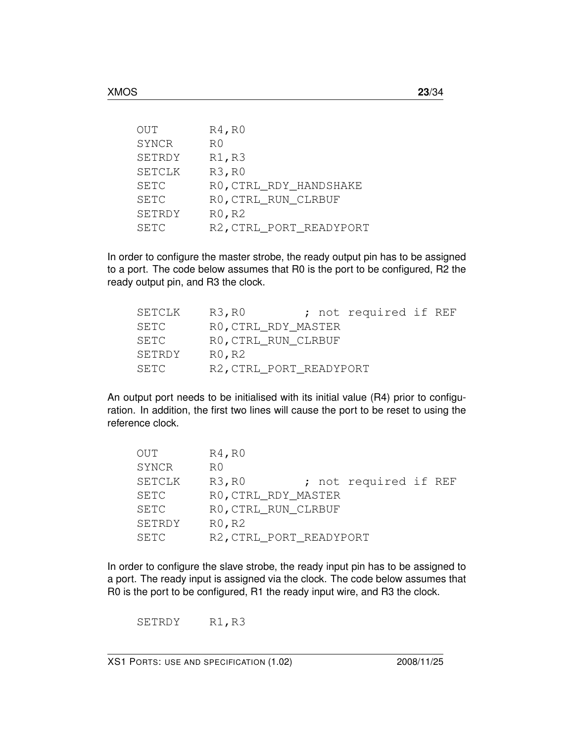| OUT    | R4, R0                  |
|--------|-------------------------|
| SYNCR  | R0                      |
| SETRDY | R1, R3                  |
| SETCLK | R3, R0                  |
| SETC   | RO, CTRL_RDY_HANDSHAKE  |
| SETC   | RO, CTRL_RUN_CLRBUF     |
| SETRDY | R0, R2                  |
| SETC   | R2, CTRL_PORT_READYPORT |

In order to configure the master strobe, the ready output pin has to be assigned to a port. The code below assumes that R0 is the port to be configured, R2 the ready output pin, and R3 the clock.

| SETCLK | R3, R0                  |  | ; not required if REF |  |
|--------|-------------------------|--|-----------------------|--|
| SETC   | RO, CTRL_RDY_MASTER     |  |                       |  |
| SETC   | RO, CTRL_RUN_CLRBUF     |  |                       |  |
| SETRDY | $R0$ , $R2$             |  |                       |  |
| SETC   | R2, CTRL PORT READYPORT |  |                       |  |

An output port needs to be initialised with its initial value (R4) prior to configuration. In addition, the first two lines will cause the port to be reset to using the reference clock.

| OUT           | R4, R0                  |  |                       |  |
|---------------|-------------------------|--|-----------------------|--|
| SYNCR         | R0                      |  |                       |  |
| <b>SETCLK</b> | R3, R0                  |  | ; not required if REF |  |
| SETC          | RO, CTRL_RDY_MASTER     |  |                       |  |
| SETC          | RO, CTRL RUN CLRBUF     |  |                       |  |
| SETRDY        | R0, R2                  |  |                       |  |
| SETC          | R2, CTRL_PORT_READYPORT |  |                       |  |

In order to configure the slave strobe, the ready input pin has to be assigned to a port. The ready input is assigned via the clock. The code below assumes that R0 is the port to be configured, R1 the ready input wire, and R3 the clock.

SETRDY R1, R3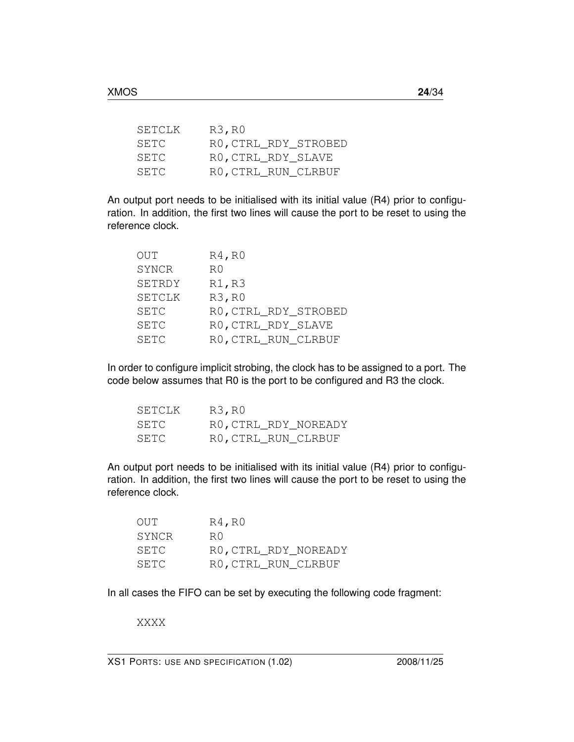| SETCLK | R3, R0               |
|--------|----------------------|
| SETC   | RO, CTRL RDY STROBED |
| SETC   | RO, CTRL_RDY_SLAVE   |
| SETC   | RO, CTRL_RUN_CLRBUF  |

An output port needs to be initialised with its initial value (R4) prior to configuration. In addition, the first two lines will cause the port to be reset to using the reference clock.

| R4, R0               |
|----------------------|
| R()                  |
| R1, R3               |
| R3, R0               |
| RO, CTRL_RDY_STROBED |
| RO, CTRL_RDY_SLAVE   |
| RO, CTRL_RUN_CLRBUF  |
|                      |

In order to configure implicit strobing, the clock has to be assigned to a port. The code below assumes that R0 is the port to be configured and R3 the clock.

| SETCLK | R3, R0               |  |
|--------|----------------------|--|
| SETC.  | RO, CTRL RDY NOREADY |  |
| SETC   | RO, CTRL_RUN_CLRBUF  |  |

An output port needs to be initialised with its initial value (R4) prior to configuration. In addition, the first two lines will cause the port to be reset to using the reference clock.

| OUT.  | $R4$ , $R0$          |
|-------|----------------------|
| SYNCR | R O                  |
| SETC  | RO, CTRL RDY NOREADY |
| SETC  | RO, CTRL_RUN_CLRBUF  |

In all cases the FIFO can be set by executing the following code fragment:

XXXX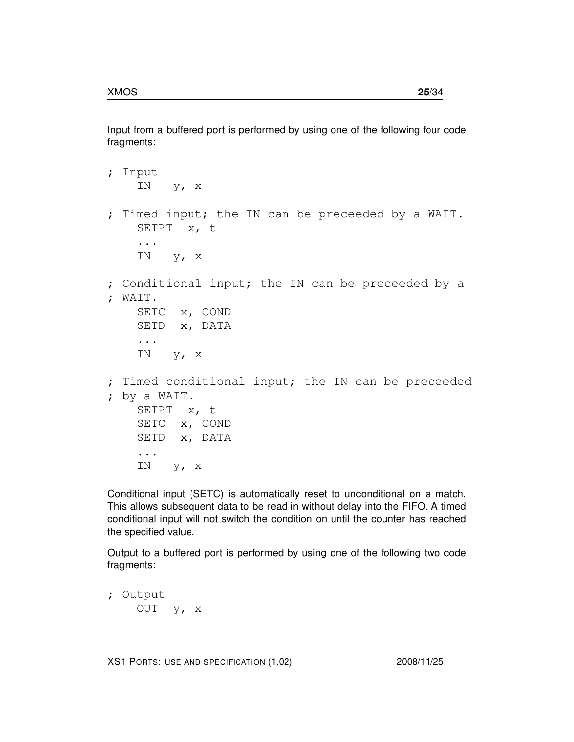Input from a buffered port is performed by using one of the following four code fragments:

```
; Input
    IN y, x
; Timed input; the IN can be preceeded by a WAIT.
    SETPT x, t
    ...
    IN y, x
; Conditional input; the IN can be preceeded by a
; WAIT.
   SETC x, COND
   SETD x, DATA
    ...
    IN y, x
; Timed conditional input; the IN can be preceeded
; by a WAIT.
   SETPT x, t
   SETC x, COND
   SETD x, DATA
    ...
    IN y, x
```
Conditional input (SETC) is automatically reset to unconditional on a match. This allows subsequent data to be read in without delay into the FIFO. A timed conditional input will not switch the condition on until the counter has reached the specified value.

Output to a buffered port is performed by using one of the following two code fragments:

```
; Output
   OUT y, x
```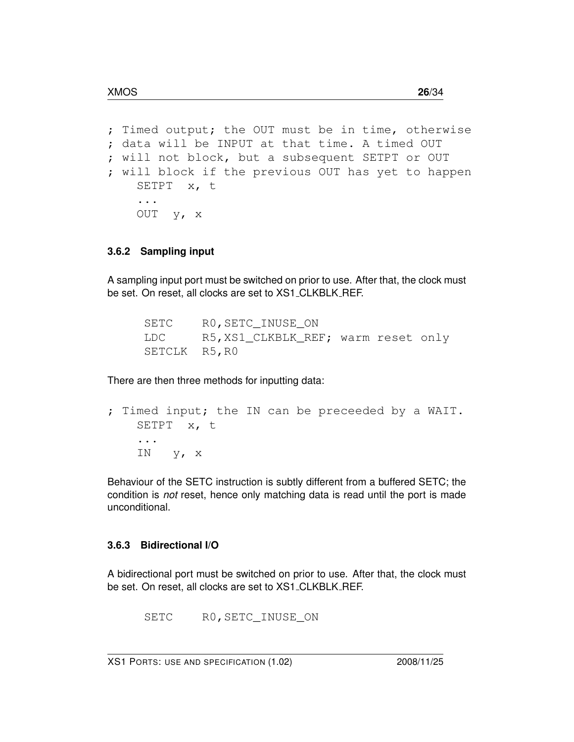```
; Timed output; the OUT must be in time, otherwise
; data will be INPUT at that time. A timed OUT
; will not block, but a subsequent SETPT or OUT
; will block if the previous OUT has yet to happen
   SETPT x, t
    ...
   OUT y, x
```
#### **3.6.2 Sampling input**

A sampling input port must be switched on prior to use. After that, the clock must be set. On reset, all clocks are set to XS1\_CLKBLK\_REF.

| SETC          | RO, SETC INUSE ON                  |  |  |
|---------------|------------------------------------|--|--|
| LDC           | R5,XS1_CLKBLK_REF; warm reset only |  |  |
| SETCLK R5, R0 |                                    |  |  |

There are then three methods for inputting data:

```
; Timed input; the IN can be preceeded by a WAIT.
   SETPT x, t
    ...
   IN y, x
```
Behaviour of the SETC instruction is subtly different from a buffered SETC; the condition is *not* reset, hence only matching data is read until the port is made unconditional.

#### **3.6.3 Bidirectional I/O**

A bidirectional port must be switched on prior to use. After that, the clock must be set. On reset, all clocks are set to XS1 CLKBLK REF.

SETC R0,SETC\_INUSE\_ON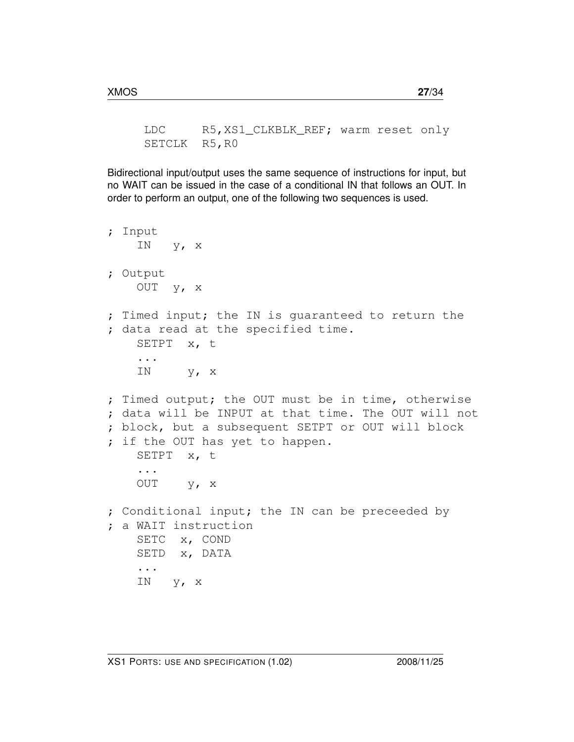LDC R5,XS1\_CLKBLK\_REF; warm reset only SETCLK R5, R0

Bidirectional input/output uses the same sequence of instructions for input, but no WAIT can be issued in the case of a conditional IN that follows an OUT. In order to perform an output, one of the following two sequences is used.

```
; Input
    IN y, x
; Output
   OUT y, x
; Timed input; the IN is guaranteed to return the
; data read at the specified time.
   SETPT x, t
    ...
    IN y, x
; Timed output; the OUT must be in time, otherwise
; data will be INPUT at that time. The OUT will not
; block, but a subsequent SETPT or OUT will block
; if the OUT has yet to happen.
   SETPT x, t
    ...
   OUT y, x
; Conditional input; the IN can be preceeded by
; a WAIT instruction
   SETC x, COND
   SETD x, DATA
    ...
    IN y, x
```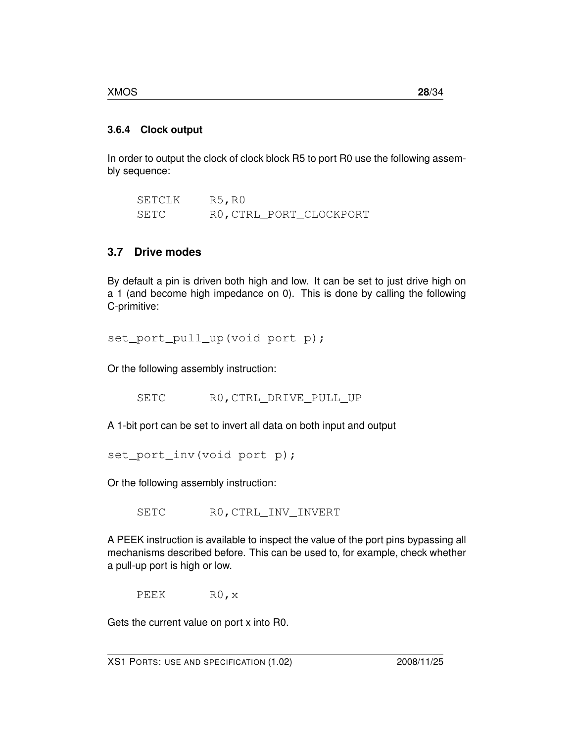#### **3.6.4 Clock output**

In order to output the clock of clock block R5 to port R0 use the following assembly sequence:

SETCLK R5, R0 SETC RO, CTRL\_PORT\_CLOCKPORT

## **3.7 Drive modes**

By default a pin is driven both high and low. It can be set to just drive high on a 1 (and become high impedance on 0). This is done by calling the following C-primitive:

set\_port\_pull\_up(void port p);

Or the following assembly instruction:

SETC RO, CTRL DRIVE PULL UP

A 1-bit port can be set to invert all data on both input and output

set\_port\_inv(void port p);

Or the following assembly instruction:

SETC RO, CTRL\_INV\_INVERT

A PEEK instruction is available to inspect the value of the port pins bypassing all mechanisms described before. This can be used to, for example, check whether a pull-up port is high or low.

PEEK RO, x

Gets the current value on port x into R0.

XS1 PORTS: USE AND SPECIFICATION (1.02) 2008/11/25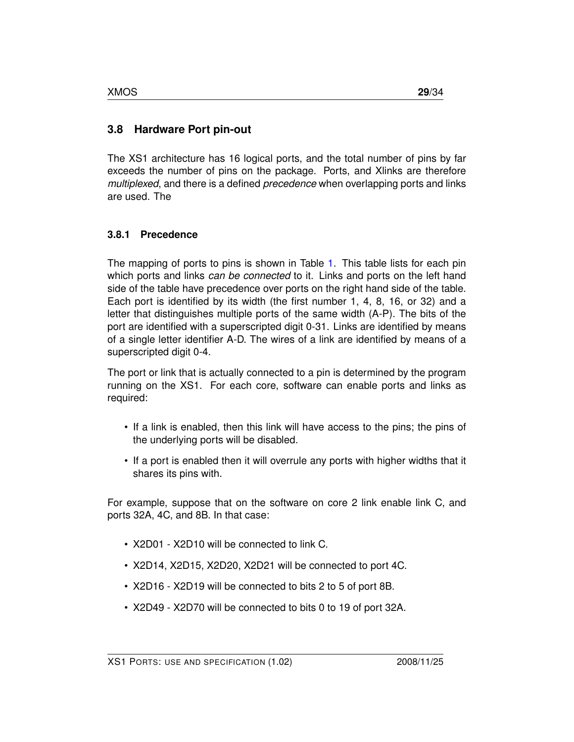### **3.8 Hardware Port pin-out**

The XS1 architecture has 16 logical ports, and the total number of pins by far exceeds the number of pins on the package. Ports, and Xlinks are therefore *multiplexed*, and there is a defined *precedence* when overlapping ports and links are used. The

#### **3.8.1 Precedence**

The mapping of ports to pins is shown in Table [1.](#page-30-0) This table lists for each pin which ports and links *can be connected* to it. Links and ports on the left hand side of the table have precedence over ports on the right hand side of the table. Each port is identified by its width (the first number 1, 4, 8, 16, or 32) and a letter that distinguishes multiple ports of the same width (A-P). The bits of the port are identified with a superscripted digit 0-31. Links are identified by means of a single letter identifier A-D. The wires of a link are identified by means of a superscripted digit 0-4.

The port or link that is actually connected to a pin is determined by the program running on the XS1. For each core, software can enable ports and links as required:

- If a link is enabled, then this link will have access to the pins; the pins of the underlying ports will be disabled.
- If a port is enabled then it will overrule any ports with higher widths that it shares its pins with.

For example, suppose that on the software on core 2 link enable link C, and ports 32A, 4C, and 8B. In that case:

- X2D01 X2D10 will be connected to link C.
- X2D14, X2D15, X2D20, X2D21 will be connected to port 4C.
- X2D16 X2D19 will be connected to bits 2 to 5 of port 8B.
- X2D49 X2D70 will be connected to bits 0 to 19 of port 32A.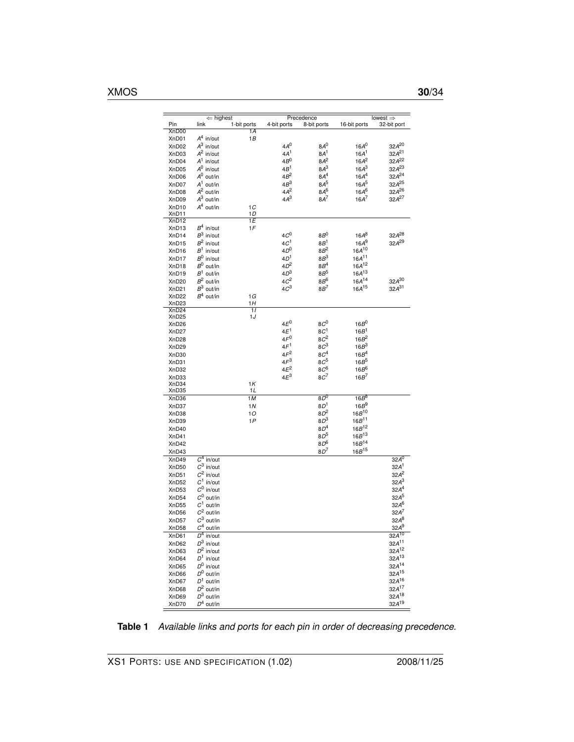|                   | $\Leftarrow$ highest    |                 |                 | Precedence      |                  | lowest $\Rightarrow$ |
|-------------------|-------------------------|-----------------|-----------------|-----------------|------------------|----------------------|
| Pin<br>XnD00      | link                    | 1-bit ports     | 4-bit ports     | 8-bit ports     | 16-bit ports     | 32-bit port          |
|                   |                         | 1A              |                 |                 |                  |                      |
| XnD01             | $A^4$ in/out            | 1B              |                 |                 |                  |                      |
| XnD02             | $A^3$ in/out            |                 | 4A <sup>0</sup> | $8A^0$          | $16A^0$          | $32A^{20}$           |
| XnD03             | $A^2$ in/out            |                 | 4A <sup>1</sup> | 8A <sup>1</sup> | 16A <sup>1</sup> | $32A^{21}$           |
| XnD04             | $A^1$ in/out            |                 | $4B^0$          | $8A^2$          | $16A^2$          | $32A^{22}$           |
| XnD05             | $A^0$ in/out            |                 | $4B^1$          | $8A^3$          | $16A^3$          | $32A^{23}$           |
| XnD06             | $A^0$ out/in            |                 | $4B^2$          | 8A <sup>4</sup> | 16A <sup>4</sup> | 32A <sup>24</sup>    |
| XnD07             | $A^1$ out/in            |                 | $4B^3$          | $8A^5$          | $16A^5$          | $32A^{25}$           |
| XnD08             | $A^2$ out/in            |                 | $4A^2$          | 8A <sup>6</sup> | $16A^6$          | 32A <sup>26</sup>    |
| XnD09             | $A^3$ out/in            |                 | $4A^3$          | $8A^7$          | $16A^7$          | $32A^{27}$           |
|                   |                         |                 |                 |                 |                  |                      |
| XnD10             | $A^4$ out/in            | 1C              |                 |                 |                  |                      |
| XnD11             |                         | 1D              |                 |                 |                  |                      |
| XnD <sub>12</sub> |                         | 1E              |                 |                 |                  |                      |
| XnD <sub>13</sub> | $B^4$ in/out            | 1F              |                 |                 |                  |                      |
| XnD <sub>14</sub> | $B^3$ in/out            |                 | $4C^0$          | $8B^0$          | $16A^8$          | 32A <sup>28</sup>    |
| XnD <sub>15</sub> | $B^2$ in/out            |                 | $4C^1$          | $8B^1$          | $16A^9$          | $32A^{29}$           |
| XnD <sub>16</sub> | $B^1$ in/out            |                 | 4D <sup>0</sup> | $8B^2$          | $16A^{10}$       |                      |
| XnD <sub>17</sub> | $B^0$ in/out            |                 | $4D^1$          | $8B^3$          | $16A^{11}$       |                      |
| XnD <sub>18</sub> | $B^0$ out/in            |                 | $4D^2$          | $8B^4$          | $16A^{12}$       |                      |
| XnD <sub>19</sub> | $B^1$ out/in            |                 | 4D <sup>3</sup> | $8B^5$          | $16A^{13}$       |                      |
| XnD <sub>20</sub> | $B^2$ out/in            |                 | 4C <sup>2</sup> | 8 $B^6$         | $16A^{14}$       | $32A^{30}$           |
| XnD21             | $B^3$ out/in            |                 | 4C <sup>3</sup> | $8B^7$          | $16A^{15}$       | $32A^{31}$           |
| XnD <sub>22</sub> | $B^4$ out/in            | 1G              |                 |                 |                  |                      |
| XnD <sub>23</sub> |                         | 1H              |                 |                 |                  |                      |
| XnD <sub>24</sub> |                         | $\overline{11}$ |                 |                 |                  |                      |
| XnD <sub>25</sub> |                         | 1J              |                 |                 |                  |                      |
|                   |                         |                 | $4E^0$          | $8C^0$          | $16B^0$          |                      |
| XnD <sub>26</sub> |                         |                 |                 |                 |                  |                      |
| XnD27             |                         |                 | $4E^1$          | 8C <sup>1</sup> | 16B <sup>1</sup> |                      |
| XnD <sub>28</sub> |                         |                 | $4F^0$          | $8C^2$          | $16B^2$          |                      |
| XnD <sub>29</sub> |                         |                 | 4F <sup>1</sup> | $8C^3$          | 16B <sup>3</sup> |                      |
| XnD30             |                         |                 | $4F^2$          | 8C <sup>4</sup> | 16B <sup>4</sup> |                      |
| XnD31             |                         |                 | $4F^3$          | $8C^5$          | $16B^5$          |                      |
| XnD32             |                         |                 | $4E^2$          | $8C^6$          | $16B^6$          |                      |
| XnD33             |                         |                 | $4E^3$          | $8C^7$          | $16B^7$          |                      |
| XnD34             |                         | 1 K             |                 |                 |                  |                      |
| XnD35             |                         | 1 L             |                 |                 |                  |                      |
| XnD36             |                         | 1M              |                 | $8D^0$          | $16B^8$          |                      |
| XnD37             |                         | 1 N             |                 | 8D <sup>1</sup> | 16B <sup>9</sup> |                      |
| XnD38             |                         | 10              |                 | $8D^2$          | $16B^{10}$       |                      |
|                   |                         |                 |                 | $8D^3$          | $16B^{11}$       |                      |
| XnD39             |                         | 1P              |                 |                 |                  |                      |
| XnD40             |                         |                 |                 | 8D <sup>4</sup> | $16B^{12}$       |                      |
| XnD41             |                         |                 |                 | $8D^5$          | $16B^{13}$       |                      |
| XnD42             |                         |                 |                 | $8D^6$          | $16B^{14}$       |                      |
| XnD43             |                         |                 |                 | $8D^7$          | $16B^{15}$       |                      |
| XnD49             | $\overline{C}^4$ in/out |                 |                 |                 |                  | $32A^0$              |
| XnD50             | $C^3$ in/out            |                 |                 |                 |                  | 32A <sup>1</sup>     |
| XnD <sub>51</sub> | $C^2$ in/out            |                 |                 |                 |                  | $32A^2$              |
| XnD <sub>52</sub> | $C^1$ in/out            |                 |                 |                 |                  | $32A^3$              |
|                   | $C^0$ in/out            |                 |                 |                 |                  | 32A <sup>4</sup>     |
| XnD <sub>53</sub> |                         |                 |                 |                 |                  |                      |
| XnD54             | $C^0$ out/in            |                 |                 |                 |                  | $32A^5$              |
| XnD <sub>55</sub> | $C^1$ out/in            |                 |                 |                 |                  | 32.A <sup>6</sup>    |
| XnD56             | $C^2$ out/in            |                 |                 |                 |                  | $32A^7$              |
| XnD57             | $C^3$ out/in            |                 |                 |                 |                  | $32A^8$              |
| XnD58             | $C^4$ out/in            |                 |                 |                 |                  | $32A^9$              |
| XnD61             | $\overline{D^4}$ in/out |                 |                 |                 |                  | $32A^{10}$           |
| XnD62             | $D^3$ in/out            |                 |                 |                 |                  | $32A^{11}$           |
| XnD63             | $D^2$ in/out            |                 |                 |                 |                  | $32A^{12}$           |
| XnD64             |                         |                 |                 |                 |                  | $32A^{13}$           |
|                   | $D^1$ in/out            |                 |                 |                 |                  |                      |
| XnD65             | $D^0$ in/out            |                 |                 |                 |                  | $32A^{14}$           |
| XnD66             | $D^0$ out/in            |                 |                 |                 |                  | $32A^{15}$           |
| XnD67             | $D^1$ out/in            |                 |                 |                 |                  | $32A^{16}$           |
| XnD68             | $D^2$ out/in            |                 |                 |                 |                  | 32A <sup>17</sup>    |
| XnD69             | $D^3$ out/in            |                 |                 |                 |                  | $32A^{18}$           |
| XnD70             | $D^4$ out/in            |                 |                 |                 |                  | $32A^{19}$           |
|                   |                         |                 |                 |                 |                  |                      |

<span id="page-30-0"></span>**Table 1** *Available links and ports for each pin in order of decreasing precedence.*

XS1 PORTS: USE AND SPECIFICATION (1.02) 2008/11/25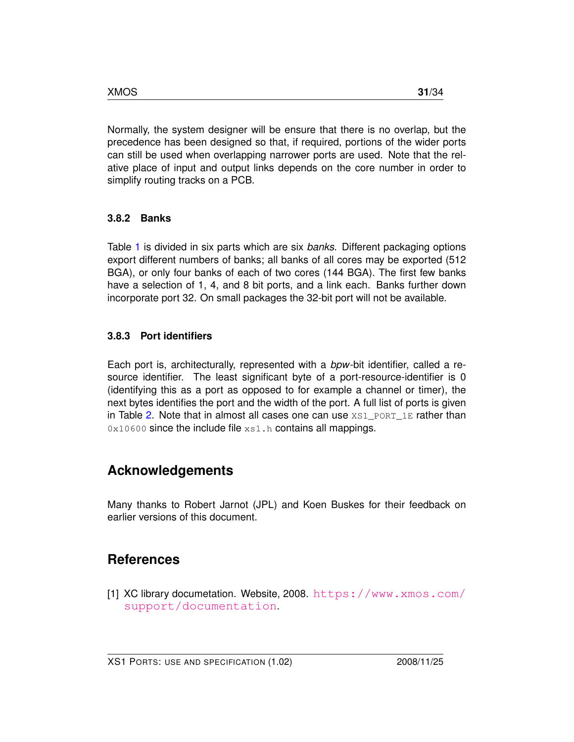Normally, the system designer will be ensure that there is no overlap, but the precedence has been designed so that, if required, portions of the wider ports can still be used when overlapping narrower ports are used. Note that the relative place of input and output links depends on the core number in order to simplify routing tracks on a PCB.

#### **3.8.2 Banks**

Table [1](#page-30-0) is divided in six parts which are six *banks*. Different packaging options export different numbers of banks; all banks of all cores may be exported (512 BGA), or only four banks of each of two cores (144 BGA). The first few banks have a selection of 1, 4, and 8 bit ports, and a link each. Banks further down incorporate port 32. On small packages the 32-bit port will not be available.

#### **3.8.3 Port identifiers**

Each port is, architecturally, represented with a *bpw*-bit identifier, called a resource identifier. The least significant byte of a port-resource-identifier is 0 (identifying this as a port as opposed to for example a channel or timer), the next bytes identifies the port and the width of the port. A full list of ports is given in Table [2.](#page-32-0) Note that in almost all cases one can use  $XST$  port  $1E$  rather than 0x10600 since the include file xs1.h contains all mappings.

## **Acknowledgements**

Many thanks to Robert Jarnot (JPL) and Koen Buskes for their feedback on earlier versions of this document.

## **References**

<span id="page-31-0"></span>[1] XC library documetation. Website, 2008. [https://www.xmos.com/](https://www.xmos.com/support/documentation) [support/documentation](https://www.xmos.com/support/documentation).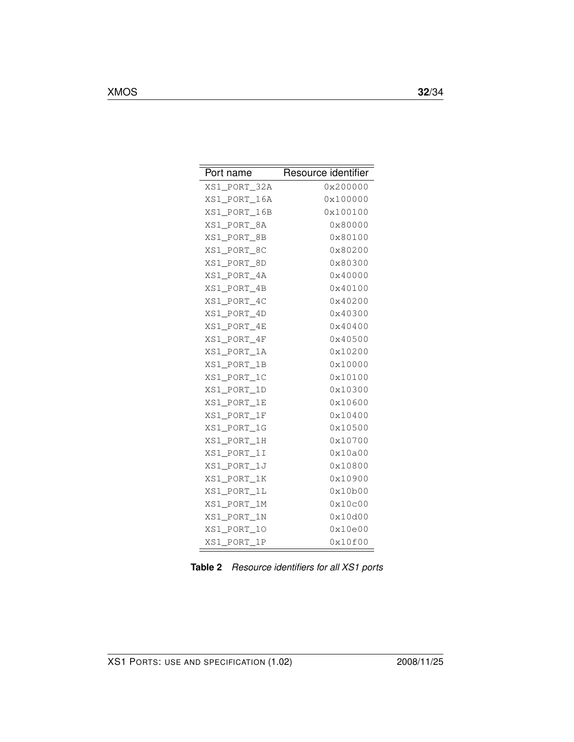| Port name    | Resource identifier |
|--------------|---------------------|
| XS1_PORT_32A | 0x200000            |
| XS1 PORT 16A | 0x100000            |
| XS1 PORT 16B | 0x100100            |
| XS1 PORT 8A  | 0x80000             |
| XS1_PORT_8B  | 0x80100             |
| XS1 PORT 8C  | 0x80200             |
| XS1 PORT 8D  | 0x80300             |
| XS1 PORT 4A  | 0x40000             |
| XS1_PORT_4B  | 0x40100             |
| XS1 PORT 4C  | 0x40200             |
| XS1 PORT 4D  | 0x40300             |
| XS1 PORT 4E  | 0x40400             |
| XS1 PORT 4F  | 0x40500             |
| XS1 PORT 1A  | 0x10200             |
| XS1 PORT 1B  | 0x10000             |
| XS1 PORT 1C  | 0x10100             |
| XS1 PORT 1D  | 0x10300             |
| XS1 PORT 1E  | 0x10600             |
| XS1 PORT 1F  | 0x10400             |
| XS1 PORT 1G  | 0x10500             |
| XS1 PORT 1H  | 0x10700             |
| XS1_PORT_1I  | 0x10a00             |
| XS1 PORT 1J  | 0x10800             |
| XS1_PORT_1K  | 0x10900             |
| XS1 PORT 1L  | 0x10b00             |
| XS1 PORT 1M  | 0x10c00             |
| XS1 PORT 1N  | 0x10d00             |
| XS1_PORT_10  | 0x10e00             |
| XS1_PORT_1P  | 0x10f00             |

<span id="page-32-0"></span>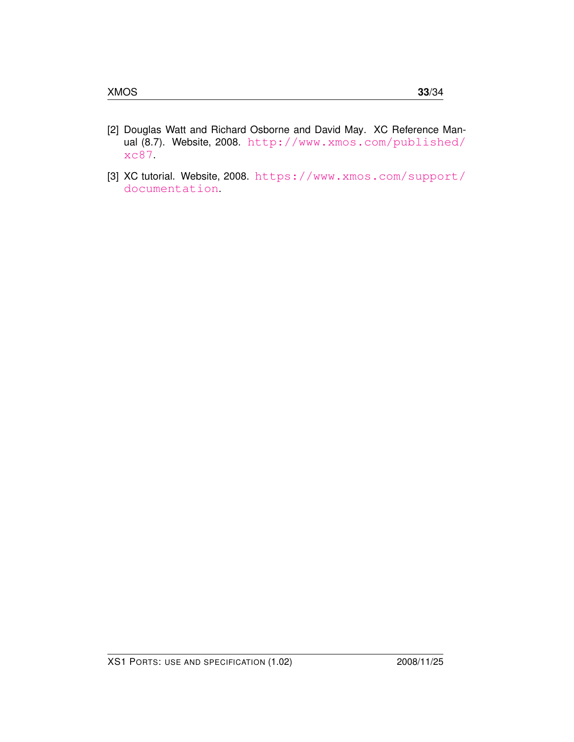- <span id="page-33-0"></span>[2] Douglas Watt and Richard Osborne and David May. XC Reference Manual (8.7). Website, 2008. [http://www.xmos.com/published/](http://www.xmos.com/published/xc87) [xc87](http://www.xmos.com/published/xc87).
- <span id="page-33-1"></span>[3] XC tutorial. Website, 2008. [https://www.xmos.com/support/](https://www.xmos.com/support/documentation) [documentation](https://www.xmos.com/support/documentation).